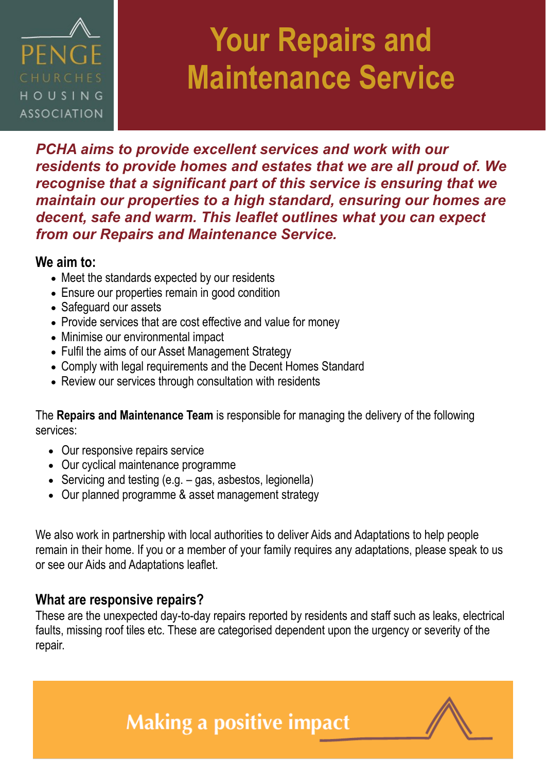

### **Your Repairs and Maintenance Service**

*PCHA aims to provide excellent services and work with our residents to provide homes and estates that we are all proud of. We recognise that a significant part of this service is ensuring that we maintain our properties to a high standard, ensuring our homes are decent, safe and warm. This leaflet outlines what you can expect from our Repairs and Maintenance Service.*

#### **We aim to:**

- Meet the standards expected by our residents
- Ensure our properties remain in good condition
- Safeguard our assets
- Provide services that are cost effective and value for money
- Minimise our environmental impact
- Fulfil the aims of our Asset Management Strategy
- Comply with legal requirements and the Decent Homes Standard
- Review our services through consultation with residents

The **Repairs and Maintenance Team** is responsible for managing the delivery of the following services:

- Our responsive repairs service
- Our cyclical maintenance programme
- Servicing and testing (e.g. gas, asbestos, legionella)
- Our planned programme & asset management strategy

We also work in partnership with local authorities to deliver Aids and Adaptations to help people remain in their home. If you or a member of your family requires any adaptations, please speak to us or see our Aids and Adaptations leaflet.

#### **What are responsive repairs?**

These are the unexpected day-to-day repairs reported by residents and staff such as leaks, electrical faults, missing roof tiles etc. These are categorised dependent upon the urgency or severity of the repair.

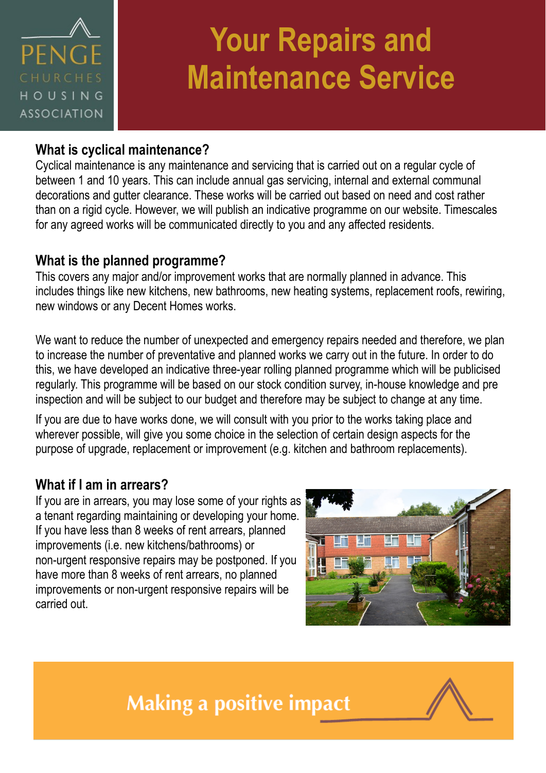

# **Your Repairs and Maintenance Service**

#### **What is cyclical maintenance?**

Cyclical maintenance is any maintenance and servicing that is carried out on a regular cycle of between 1 and 10 years. This can include annual gas servicing, internal and external communal decorations and gutter clearance. These works will be carried out based on need and cost rather than on a rigid cycle. However, we will publish an indicative programme on our website. Timescales for any agreed works will be communicated directly to you and any affected residents.

#### **What is the planned programme?**

This covers any major and/or improvement works that are normally planned in advance. This includes things like new kitchens, new bathrooms, new heating systems, replacement roofs, rewiring, new windows or any Decent Homes works.

We want to reduce the number of unexpected and emergency repairs needed and therefore, we plan to increase the number of preventative and planned works we carry out in the future. In order to do this, we have developed an indicative three-year rolling planned programme which will be publicised regularly. This programme will be based on our stock condition survey, in-house knowledge and pre inspection and will be subject to our budget and therefore may be subject to change at any time.

If you are due to have works done, we will consult with you prior to the works taking place and wherever possible, will give you some choice in the selection of certain design aspects for the purpose of upgrade, replacement or improvement (e.g. kitchen and bathroom replacements).

#### **What if I am in arrears?**

If you are in arrears, you may lose some of your rights as a tenant regarding maintaining or developing your home. If you have less than 8 weeks of rent arrears, planned improvements (i.e. new kitchens/bathrooms) or non-urgent responsive repairs may be postponed. If you have more than 8 weeks of rent arrears, no planned improvements or non-urgent responsive repairs will be carried out.